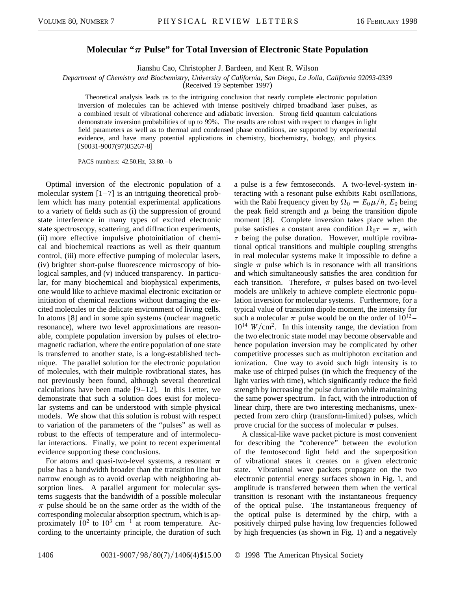## **Molecular "** $\pi$  **Pulse" for Total Inversion of Electronic State Population**

Jianshu Cao, Christopher J. Bardeen, and Kent R. Wilson

*Department of Chemistry and Biochemistry, University of California, San Diego, La Jolla, California 92093-0339*

(Received 19 September 1997)

Theoretical analysis leads us to the intriguing conclusion that nearly complete electronic population inversion of molecules can be achieved with intense positively chirped broadband laser pulses, as a combined result of vibrational coherence and adiabatic inversion. Strong field quantum calculations demonstrate inversion probabilities of up to 99%. The results are robust with respect to changes in light field parameters as well as to thermal and condensed phase conditions, are supported by experimental evidence, and have many potential applications in chemistry, biochemistry, biology, and physics. [S0031-9007(97)05267-8]

PACS numbers: 42.50.Hz, 33.80. – b

Optimal inversion of the electronic population of a molecular system  $[1–7]$  is an intriguing theoretical problem which has many potential experimental applications to a variety of fields such as (i) the suppression of ground state interference in many types of excited electronic state spectroscopy, scattering, and diffraction experiments, (ii) more effective impulsive photoinitiation of chemical and biochemical reactions as well as their quantum control, (iii) more effective pumping of molecular lasers, (iv) brighter short-pulse fluorescence microscopy of biological samples, and (v) induced transparency. In particular, for many biochemical and biophysical experiments, one would like to achieve maximal electronic excitation or initiation of chemical reactions without damaging the excited molecules or the delicate environment of living cells. In atoms [8] and in some spin systems (nuclear magnetic resonance), where two level approximations are reasonable, complete population inversion by pulses of electromagnetic radiation, where the entire population of one state is transferred to another state, is a long-established technique. The parallel solution for the electronic population of molecules, with their multiple rovibrational states, has not previously been found, although several theoretical calculations have been made  $[9-12]$ . In this Letter, we demonstrate that such a solution does exist for molecular systems and can be understood with simple physical models. We show that this solution is robust with respect to variation of the parameters of the "pulses" as well as robust to the effects of temperature and of intermolecular interactions. Finally, we point to recent experimental evidence supporting these conclusions.

For atoms and quasi-two-level systems, a resonant  $\pi$ pulse has a bandwidth broader than the transition line but narrow enough as to avoid overlap with neighboring absorption lines. A parallel argument for molecular systems suggests that the bandwidth of a possible molecular  $\pi$  pulse should be on the same order as the width of the corresponding molecular absorption spectrum, which is approximately  $10^2$  to  $10^3$  cm<sup>-1</sup> at room temperature. According to the uncertainty principle, the duration of such

a pulse is a few femtoseconds. A two-level-system interacting with a resonant pulse exhibits Rabi oscillations, with the Rabi frequency given by  $\Omega_0 = E_0 \mu / \hbar$ ,  $E_0$  being the peak field strength and  $\mu$  being the transition dipole moment [8]. Complete inversion takes place when the pulse satisfies a constant area condition  $\Omega_0 \tau = \pi$ , with  $\tau$  being the pulse duration. However, multiple rovibrational optical transitions and multiple coupling strengths in real molecular systems make it impossible to define a single  $\pi$  pulse which is in resonance with all transitions and which simultaneously satisfies the area condition for each transition. Therefore,  $\pi$  pulses based on two-level models are unlikely to achieve complete electronic population inversion for molecular systems. Furthermore, for a typical value of transition dipole moment, the intensity for such a molecular  $\pi$  pulse would be on the order of  $10^{12}$  –  $10^{14}$  *W*/cm<sup>2</sup>. In this intensity range, the deviation from the two electronic state model may become observable and hence population inversion may be complicated by other competitive processes such as multiphoton excitation and ionization. One way to avoid such high intensity is to make use of chirped pulses (in which the frequency of the light varies with time), which significantly reduce the field strength by increasing the pulse duration while maintaining the same power spectrum. In fact, with the introduction of linear chirp, there are two interesting mechanisms, unexpected from zero chirp (transform-limited ) pulses, which prove crucial for the success of molecular  $\pi$  pulses.

A classical-like wave packet picture is most convenient for describing the "coherence" between the evolution of the femtosecond light field and the superposition of vibrational states it creates on a given electronic state. Vibrational wave packets propagate on the two electronic potential energy surfaces shown in Fig. 1, and amplitude is transferred between them when the vertical transition is resonant with the instantaneous frequency of the optical pulse. The instantaneous frequency of the optical pulse is determined by the chirp, with a positively chirped pulse having low frequencies followed by high frequencies (as shown in Fig. 1) and a negatively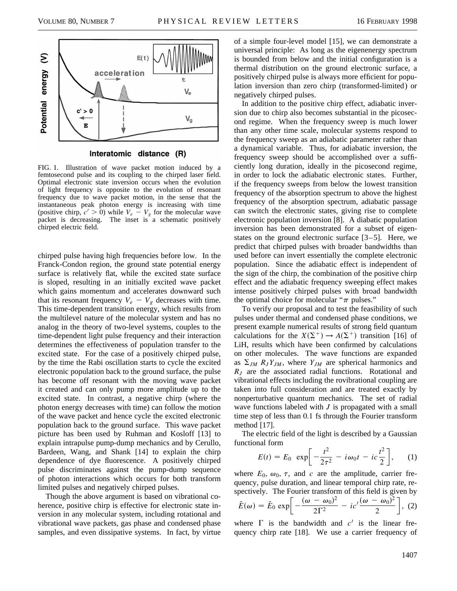

Interatomic distance (R)

FIG. 1. Illustration of wave packet motion induced by a femtosecond pulse and its coupling to the chirped laser field. Optimal electronic state inversion occurs when the evolution of light frequency is opposite to the evolution of resonant frequency due to wave packet motion, in the sense that the instantaneous peak photon energy is increasing with time (positive chirp,  $c' > 0$ ) while  $V_e - V_g$  for the molecular wave packet is decreasing. The inset is a schematic positively chirped electric field.

chirped pulse having high frequencies before low. In the Franck-Condon region, the ground state potential energy surface is relatively flat, while the excited state surface is sloped, resulting in an initially excited wave packet which gains momentum and accelerates downward such that its resonant frequency  $V_e - V_g$  decreases with time. This time-dependent transition energy, which results from the multilevel nature of the molecular system and has no analog in the theory of two-level systems, couples to the time-dependent light pulse frequency and their interaction determines the effectiveness of population transfer to the excited state. For the case of a positively chirped pulse, by the time the Rabi oscillation starts to cycle the excited electronic population back to the ground surface, the pulse has become off resonant with the moving wave packet it created and can only pump more amplitude up to the excited state. In contrast, a negative chirp (where the photon energy decreases with time) can follow the motion of the wave packet and hence cycle the excited electronic population back to the ground surface. This wave packet picture has been used by Ruhman and Kosloff [13] to explain intrapulse pump-dump mechanics and by Cerullo, Bardeen, Wang, and Shank [14] to explain the chirp dependence of dye fluorescence. A positively chirped pulse discriminates against the pump-dump sequence of photon interactions which occurs for both transform limited pulses and negatively chirped pulses.

Though the above argument is based on vibrational coherence, positive chirp is effective for electronic state inversion in any molecular system, including rotational and vibrational wave packets, gas phase and condensed phase samples, and even dissipative systems. In fact, by virtue

of a simple four-level model [15], we can demonstrate a universal principle: As long as the eigenenergy spectrum is bounded from below and the initial configuration is a thermal distribution on the ground electronic surface, a positively chirped pulse is always more efficient for population inversion than zero chirp (transformed-limited) or negatively chirped pulses.

In addition to the positive chirp effect, adiabatic inversion due to chirp also becomes substantial in the picosecond regime. When the frequency sweep is much lower than any other time scale, molecular systems respond to the frequency sweep as an adiabatic parameter rather than a dynamical variable. Thus, for adiabatic inversion, the frequency sweep should be accomplished over a sufficiently long duration, ideally in the picosecond regime, in order to lock the adiabatic electronic states. Further, if the frequency sweeps from below the lowest transition frequency of the absorption spectrum to above the highest frequency of the absorption spectrum, adiabatic passage can switch the electronic states, giving rise to complete electronic population inversion [8]. A diabatic population inversion has been demonstrated for a subset of eigenstates on the ground electronic surface [3–5]. Here, we predict that chirped pulses with broader bandwidths than used before can invert essentially the complete electronic population. Since the adiabatic effect is independent of the sign of the chirp, the combination of the positive chirp effect and the adiabatic frequency sweeping effect makes intense positively chirped pulses with broad bandwidth the optimal choice for molecular " $\pi$  pulses."

To verify our proposal and to test the feasibility of such pulses under thermal and condensed phase conditions, we present example numerical results of strong field quantum calculations for the  $X(\Sigma^+) \to A(\Sigma^+)$  transition [16] of LiH, results which have been confirmed by calculations on other molecules. The wave functions are expanded as  $\Sigma_{JM}$   $R_J Y_{JM}$ , where  $Y_{JM}$  are spherical harmonics and *RJ* are the associated radial functions. Rotational and vibrational effects including the rovibrational coupling are taken into full consideration and are treated exactly by nonperturbative quantum mechanics. The set of radial wave functions labeled with *J* is propagated with a small time step of less than 0.1 fs through the Fourier transform method [17].

The electric field of the light is described by a Gaussian functional form

$$
E(t) = E_0 \exp\left[-\frac{t^2}{2\tau^2} - i\omega_0 t - ic\frac{t^2}{2}\right], \quad (1)
$$

where  $E_0$ ,  $\omega_0$ ,  $\tau$ , and *c* are the amplitude, carrier frequency, pulse duration, and linear temporal chirp rate, respectively. The Fourier transform of this field is given by<br>  $\tilde{E}(\omega) = \tilde{E}_0 \exp\left[-\frac{(\omega - \omega_0)^2}{2\Gamma^2} - ic'\frac{(\omega - \omega_0)^2}{2}\right],$  (2) 2 ∏ , (2)

where  $\Gamma$  is the bandwidth and  $c^{\prime}$  is the linear frequency chirp rate [18]. We use a carrier frequency of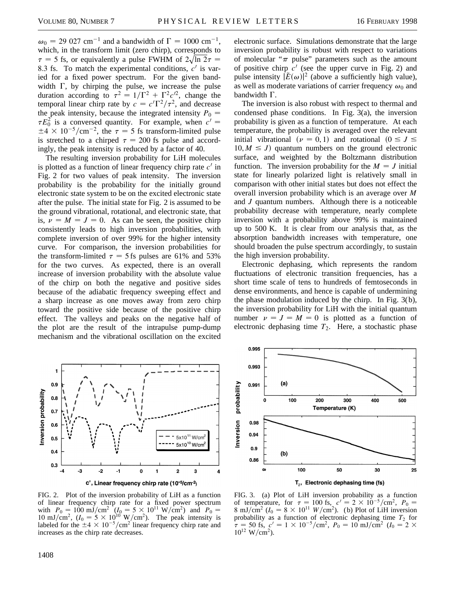$\omega_0 = 29.027$  cm<sup>-1</sup> and a bandwidth of  $\Gamma = 1000$  cm<sup>-1</sup>, which, in the transform limit (zero chirp), corresponds to which, in the transform limit (zero emp), corresponds to  $\tau = 5$  fs, or equivalently a pulse FWHM of  $2\sqrt{\ln 2}\tau =$ 8.3 fs. To match the experimental conditions,  $c<sup>1</sup>$  is varied for a fixed power spectrum. For the given bandwidth  $\Gamma$ , by chirping the pulse, we increase the pulse duration according to  $\tau^2 = 1/\Gamma^2 + \Gamma^2 c^2$ , change the temporal linear chirp rate by  $c = c'\Gamma^2/\tau^2$ , and decrease the peak intensity, because the integrated intensity  $P_0 =$  $\tau E_0^2$  is a conversed quantity. For example, when  $c' =$  $\pm 4 \times 10^{-5}/\text{cm}^{-2}$ , the  $\tau = 5$  fs transform-limited pulse is stretched to a chirped  $\tau = 200$  fs pulse and accordingly, the peak intensity is reduced by a factor of 40.

The resulting inversion probability for LiH molecules is plotted as a function of linear frequency chirp rate  $c<sup>1</sup>$  in Fig. 2 for two values of peak intensity. The inversion probability is the probability for the initially ground electronic state system to be on the excited electronic state after the pulse. The initial state for Fig. 2 is assumed to be the ground vibrational, rotational, and electronic state, that is,  $\nu = M = J = 0$ . As can be seen, the positive chirp consistently leads to high inversion probabilities, with complete inversion of over 99% for the higher intensity curve. For comparison, the inversion probabilities for the transform-limited  $\tau = 5$  fs pulses are 61% and 53% for the two curves. As expected, there is an overall increase of inversion probability with the absolute value of the chirp on both the negative and positive sides because of the adiabatic frequency sweeping effect and a sharp increase as one moves away from zero chirp toward the positive side because of the positive chirp effect. The valleys and peaks on the negative half of the plot are the result of the intrapulse pump-dump mechanism and the vibrational oscillation on the excited

electronic surface. Simulations demonstrate that the large inversion probability is robust with respect to variations of molecular " $\pi$  pulse" parameters such as the amount of positive chirp  $c'$  (see the upper curve in Fig. 2) and pulse intensity  $|\tilde{E}(\omega)|^2$  (above a sufficiently high value), as well as moderate variations of carrier frequency  $\omega_0$  and bandwidth  $\Gamma$ .

The inversion is also robust with respect to thermal and condensed phase conditions. In Fig. 3(a), the inversion probability is given as a function of temperature. At each temperature, the probability is averaged over the relevant initial vibrational ( $\nu = 0, 1$ ) and rotational ( $0 \leq J \leq$  $10, M \leq J$  quantum numbers on the ground electronic surface, and weighted by the Boltzmann distribution function. The inversion probability for the  $M = J$  initial state for linearly polarized light is relatively small in comparison with other initial states but does not effect the overall inversion probability which is an average over *M* and *J* quantum numbers. Although there is a noticeable probability decrease with temperature, nearly complete inversion with a probability above 99% is maintained up to 500 K. It is clear from our analysis that, as the absorption bandwidth increases with temperature, one should broaden the pulse spectrum accordingly, to sustain the high inversion probability.

Electronic dephasing, which represents the random fluctuations of electronic transition frequencies, has a short time scale of tens to hundreds of femtoseconds in dense environments, and hence is capable of undermining the phase modulation induced by the chirp. In Fig. 3(b), the inversion probability for LiH with the initial quantum number  $\nu = J = M = 0$  is plotted as a function of electronic dephasing time  $T_2$ . Here, a stochastic phase



FIG. 2. Plot of the inversion probability of LiH as a function of linear frequency chirp rate for a fixed power spectrum with  $P_0 = 100 \text{ mJ/cm}^2$   $(I_0 = 5 \times 10^{11} \text{ W/cm}^2)$  and  $P_0 =$ 10 mJ/cm<sup>2</sup>, ( $I_0 = 5 \times 10^{10}$  W/cm<sup>2</sup>). The peak intensity is labeled for the  $\pm 4 \times 10^{-5}/\text{cm}^2$  linear frequency chirp rate and increases as the chirp rate decreases.



FIG. 3. (a) Plot of LiH inversion probability as a function of temperature, for  $\tau = 100$  fs,  $c' = 2 \times 10^{-5}/\text{cm}^2$ ,  $P_0 =$ 8 mJ/cm<sup>2</sup> ( $I_0 = 8 \times 10^{11}$  W/cm<sup>2</sup>). (b) Plot of LiH inversion probability as a function of electronic dephasing time  $T_2$  for  $\tau = 50$  fs,  $c' = 1 \times 10^{-5}/\text{cm}^2$ ,  $P_0 = 10 \text{ mJ}/\text{cm}^2$  ( $I_0 = 2 \times$  $10^{12}$  W/cm<sup>2</sup>).